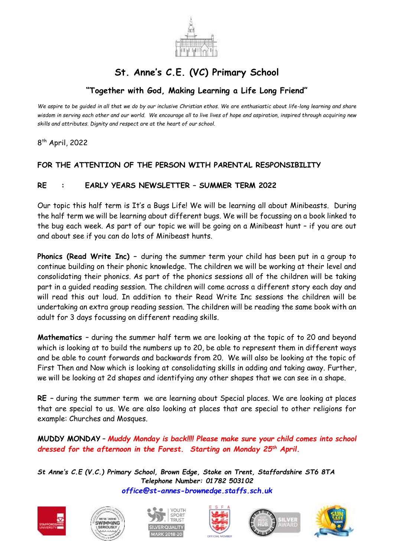

## **St. Anne's C.E. (VC) Primary School**

## **"Together with God, Making Learning a Life Long Friend"**

*We aspire to be guided in all that we do by our inclusive Christian ethos. We are enthusiastic about life-long learning and share wisdom in serving each other and our world. We encourage all to live lives of hope and aspiration, inspired through acquiring new skills and attributes. Dignity and respect are at the heart of our school.*

8 th April, 2022

## **FOR THE ATTENTION OF THE PERSON WITH PARENTAL RESPONSIBILITY**

## **RE : EARLY YEARS NEWSLETTER – SUMMER TERM 2022**

Our topic this half term is It's a Bugs Life! We will be learning all about Minibeasts. During the half term we will be learning about different bugs. We will be focussing on a book linked to the bug each week. As part of our topic we will be going on a Minibeast hunt – if you are out and about see if you can do lots of Minibeast hunts.

**Phonics (Read Write Inc) –** during the summer term your child has been put in a group to continue building on their phonic knowledge. The children we will be working at their level and consolidating their phonics. As part of the phonics sessions all of the children will be taking part in a guided reading session. The children will come across a different story each day and will read this out loud. In addition to their Read Write Inc sessions the children will be undertaking an extra group reading session. The children will be reading the same book with an adult for 3 days focussing on different reading skills.

**Mathematics** – during the summer half term we are looking at the topic of to 20 and beyond which is looking at to build the numbers up to 20, be able to represent them in different ways and be able to count forwards and backwards from 20. We will also be looking at the topic of First Then and Now which is looking at consolidating skills in adding and taking away. Further, we will be looking at 2d shapes and identifying any other shapes that we can see in a shape.

**RE –** during the summer term we are learning about Special places. We are looking at places that are special to us. We are also looking at places that are special to other religions for example: Churches and Mosques.

**MUDDY MONDAY** – *Muddy Monday is back!!!! Please make sure your child comes into school dressed for the afternoon in the Forest. Starting on Monday 25th April.*

*St Anne's C.E (V.C.) Primary School, Brown Edge, Stoke on Trent, Staffordshire ST6 8TA Telephone Number: 01782 503102 [office@st-annes-brownedge.staffs.sch.uk](mailto:office@st-annes-brownedge.staffs.sch.uk)*